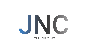

### CAPITAL ALLOWANCES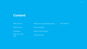### **Content**

| Who are we          | <b>What are Capital Allowances</b> | Our mission |
|---------------------|------------------------------------|-------------|
| What we do          | Do you qualify                     |             |
| <b>Financials</b>   | What is the process                |             |
| Who we work<br>with | Find out more                      |             |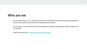

We are James Nazir & Co, a two partner firm with a combined 30 years dual tax/surveying experience and we offer a partner led service for all capital allowances clients.

James Nazir & Co was formed in 2013 and already has a sterling reputation with clients throughout the UK and EEA.

Meet the partners here - <https://www.jamesnazir.com/team>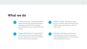# **What we do**



**Property Purchases -** We help UK business owners that own UK commercial property claim back up to 45% of their property purchase price to use as a source of tax free income.



**Property Refurbishment -** We help clients who have spent money refurbishing their commercial properties claim up to 100% of the costs back, tenants included!!



**HMRC Tax Credit -** We help our clients increase cash flow, unlock tax refunds from HMRC and provide further tax relief for future years.



**Ethical Fee -** We help our clients by not stretching their cash-flow and provide alternative billing options to suit the needs of the individual or business.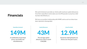# **Financials**

We work tirelessly to provide our clients with maximum capital allowances from their expenditure and to date over £12.9M pounds in actual tax relief has been identified by us.

We have an excellent relationship with HMRC and as such no claims have been rejected or downgraded.

**Expenditure Analysed** 

**149M**

**A combination of purchase prices, new builds and refurbishments.** 

**Capital Allowances**

**43M**

**The average capital allowances claim is worth £160,000.**

**Actual Tax Relief**

**12.9M**

**Actual tax relief gained by our clients over the past 5 years.**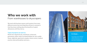### **Who we work with** From warehouses to skyscrapers

We work with business owners and investors from many different sectors but one thing they all have in common is that they knew nothing about the benefits of capital allowances until they met us.

#### **Types of property we work on:**

Retail unit, industrial unit, warehouse, restaurant, gymnasium, office, hotel, furnished holiday let, farm, public house, nightclub, apartment complex, leisure centre, medical practice, bed and breakfast and more….

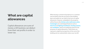# **What are capital allowances**

Capital allowances are sums of money a UK business can deduct from their net profits in order to lower tax.

When buying a commercial property it is a common misconception that the purchase of the building does not qualify for tax relief in the form of capital allowances. However, embedded in the property, will be fixtures like **kitchen units**, **bathrooms suites**, **ironmongery** etc and integral features such as **electrical** and **lighting installations**, **heating systems**  and **ventilation**, which are qualifying assets for the purposes of capital allowances. These items can represent a significant proportion of the cost of the building and can substantially reduce your tax bill.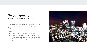### **Do you qualify**  HMRC set the rules, not us!

If you wish to claim capital allowances there is a baseline criteria that needs to be met in order for you to benefit from this generous tax relief.

#### **Criteria:**

- Must hold the property as an investment
- Must have a qualifying business trade/activity
- Must be a taxable entity (personal or corporate)
- Own the freehold or long lease interest
- Must have paid a capital sum

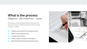### **What is the process** Diligence - site inspection - report

The process can be completed within a timeframe that suits you and your professional advisors but on average it takes 2 - 3 weeks.

- **01** Compile a precise audit trail of the property history
- **02 |** Agree to terms and sign contracts
- **03 |** Complete a site inspection
- **04 |** Produce a build cost schedule for the property
- **05 |** Sign off and send the final capital allowances report

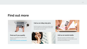# **Find out more**



#### **Find out if you qualify**

Request a completely free audit of your property here <https://www.jamesnazir.com/doiqualify>



**Call us on 0843 005 9711**

any questions you may have.

Feel free to give us a call on the number above and we will be more than happy to assist with



#### **Visit us on social media**

We have accounts on facebook, twitter, linkedIn and Instagram, so come follow us and see what we have been up to.